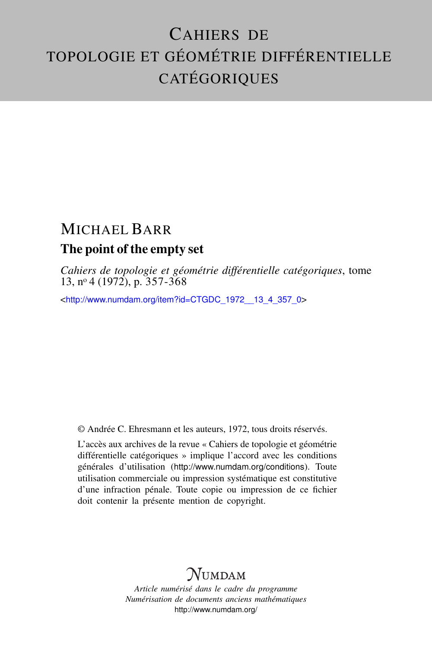# CAHIERS DE TOPOLOGIE ET GÉOMÉTRIE DIFFÉRENTIELLE **CATÉGORIQUES**

# MICHAEL BARR The point of the empty set

*Cahiers de topologie et géométrie différentielle catégoriques*, tome  $13, n^{\circ}4$  (1972), p.  $357-368$ 

<[http://www.numdam.org/item?id=CTGDC\\_1972\\_\\_13\\_4\\_357\\_0](http://www.numdam.org/item?id=CTGDC_1972__13_4_357_0)>

© Andrée C. Ehresmann et les auteurs, 1972, tous droits réservés.

L'accès aux archives de la revue « Cahiers de topologie et géométrie différentielle catégoriques » implique l'accord avec les conditions générales d'utilisation (<http://www.numdam.org/conditions>). Toute utilisation commerciale ou impression systématique est constitutive d'une infraction pénale. Toute copie ou impression de ce fichier doit contenir la présente mention de copyright.

# **NUMDAM**

*Article numérisé dans le cadre du programme Numérisation de documents anciens mathématiques* <http://www.numdam.org/>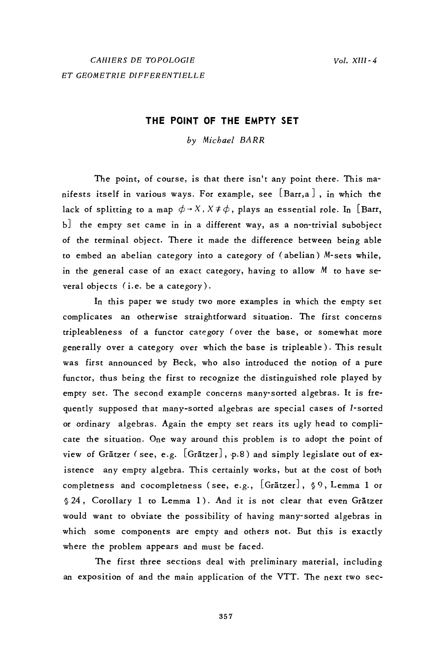# THE POINT OF THE EMPTY SET

by Michael BARR

The point, of course, is that there isn't any point there. This manifests itself in various ways. For example, see  $\left[\, \text{Barr}, \text{a} \, \right]$  , in which the lack of splitting to a map  $\phi \rightarrow X$ ,  $X \neq \phi$ , plays an essential role. In [Barr, b] the empty set came in in a different way, as a non-trivial subobject of the terminal object. There it made the difference between being able to embed an abelian category into a category of (abelian) M-sets while, in the general case of an exact category, having to allow  $M$  to have several objects (i.e. be a category).

In this paper we study two more examples in which the empty set complicates an otherwise straightforward situation. The first concerns tripleableness of a functor category (over the base, or somewhat more generally over a category over which the base is tripleable). This result was first announced by Beck, who also introduced the notion of a pure functor, thus being the first to recognize the distinguished role played by empty set. The second example concerns many-sorted algebras. It is frequently supposed that many-sorted algebras are special cases of 1-sorted or ordinary algebras. Again the empty set rears its ugly head to complicate the situation. One way around this problem is to adopt the point of view of Grätzer (see, e.g. [Grätzer], p.8) and simply legislate out of existence any empty algebra. This certainly works, but at the cost of both completness and cocompletness (see, e.g., [Grätzer], §9, Lemma 1 or § 24, Corollary 1 to Lemma 1). And it is not clear that even Grätzer would want to obviate the possibility of having many-sorted algebras in which some components are empty and others not. But this is exactly where the problem appears and must be faced.

The first three sections deal with preliminary material, including an exposition of and the main application of the VTT. The next two sec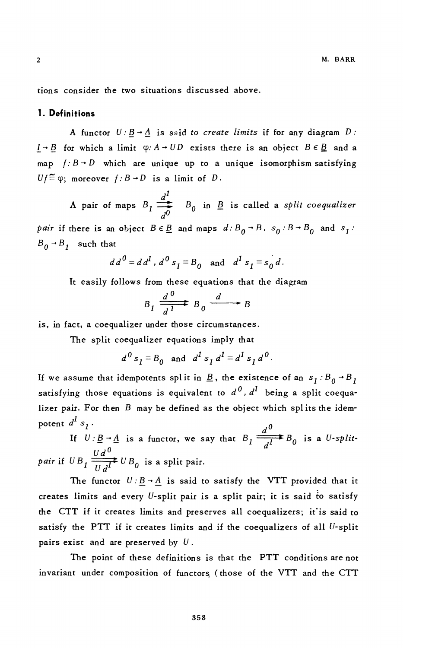tions consider the two situations discussed above.

#### 1. Definitions

A functor  $U: \underline{B} \rightarrow \underline{A}$  is said to create limits if for any diagram D:  $I \rightarrow B$  for which a limit  $\varphi: A \rightarrow UD$  exists there is an object  $B \in \underline{B}$  and a map  $f: B \rightarrow D$  which are unique up to a unique isomorphism satisfying  $Uf \stackrel{\sim}{=} \varphi$ ; moreover  $f : B \to D$  is a limit of D.

A pair of maps  $B_1 \stackrel{d^1}{\longrightarrow} B_0$  in  $\underline{B}$  is called a *split coequalizer* pair if there is an object  $B \in \underline{B}$  and maps  $d : B_0 \rightarrow B$ ,  $s_0 : B \rightarrow B_0$  and  $s_1$ :  $B_0$  +  $B_1$  such that

$$
dd^0 = dd^1, d^0 s_1 = B_0
$$
 and  $d^1 s_1 = s_0 d$ .

It easily follows from these equations that the diagram

$$
B_1 \xrightarrow[d]{d} B_0 \xrightarrow{d} B
$$

is, in fact, a coequalizer under those circumstances.

The split coequalizer equations imply that

 $d^{0} s_{1} = B_{0}$  and  $d^{1} s_{1} d^{1} = d^{1} s_{1} d^{0}$ .

If we assume that idempotents split in  $\underline{B}$ , the existence of an  $s_1 : B_0 \rightarrow B_1$ satisfying those equations is equivalent to  $d^0$ ,  $d^1$  being a split coequalizer pair. For then  $B$  may be defined as the object which splits the idempotent  $d^I s_I$ .

If  $U: \underline{B} \to \underline{A}$  is a functor, we say that  $B_1 \xrightarrow{d^0} B_0$  is a U-splitpair if  $UB_1 \frac{Ud^0}{Ud^1}UB_0$  is a split pair.

The functor  $U: \underline{B} \to \underline{A}$  is said to satisfy the VTT provided that it creates limits and every U-split pair is a split pair; it is said to satisfy the CTT if it creates limits and preserves all coequalizers; it' is said to satisfy the PTT if it creates limits and if the coequalizers of all U-split pairs exist and are preserved by  $U$ .

The point of these definitions is that the PTT conditions are not invariant under composition of functors (those of the VTT and the CTT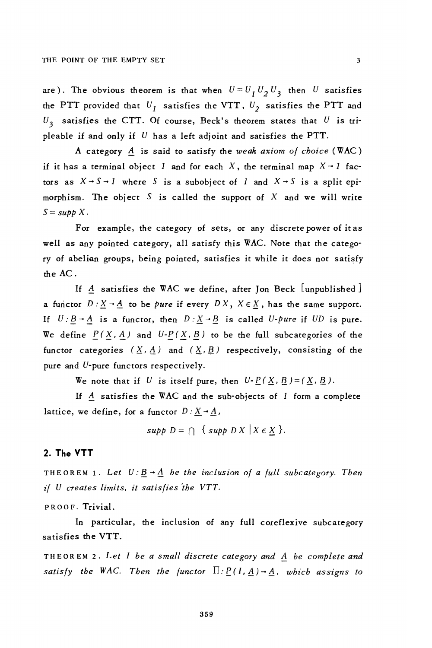are). The obvious theorem is that when  $U = U_1 U_2 U_3$  then U satisfies the PTT provided that  $U_1$  satisfies the VTT,  $U_2$  satisfies the PTT and  $U_3$  satisfies the CTT. Of course, Beck's theorem states that  $U$  is tripleable if and only if  $U$  has a left adjoint and satisfies the PTT.

A category  $A$  is said to satisfy the weak axiom of choice (WAC) if it has a terminal object 1 and for each X, the terminal map  $X \rightarrow 1$  factors as  $X \rightarrow S \rightarrow 1$  where S is a subobject of 1 and  $X \rightarrow S$  is a split epimorphism. The object S is called the support of X and we will write  $S = supp X$ .

For example, the category of sets, or any discrete power of it as well as any pointed category, all satisfy this WAC. Note that the category of abelian groups, being pointed, satisfies it while it does not satisfy the AC.

If A satisfies the WAC we define, after Jon Beck  $[$ unpublished  $]$ a functor  $D: X \rightarrow A$  to be *pure* if every  $DX, X \in X$ , has the same support. If  $U: B \rightarrow A$  is a functor, then  $D: \underline{X} \rightarrow \underline{B}$  is called *U-pure* if *UD* is pure. We define  $P(X, A)$  and  $U-P(X, B)$  to be the full subcategories of the functor categories  $(\underline{X}, \underline{A})$  and  $(\underline{X}, \underline{B})$  respectively, consisting of the pure and U-pure functors respectively.

We note that if U is itself pure, then  $U - P(X, B) = (X, B)$ .

If  $A$  satisfies the WAC and the sub-objects of 1 form a complete lattice, we define, for a functor  $D: X \rightarrow A$ ,

supp  $D = \bigcap \{ \text{supp } D X \mid X \in X \}$ .

## 2. The VTT

THEOREM 1. Let  $U: \underline{B} \rightarrow \underline{A}$  be the inclusion of a full subcategory. Then if U creates limits, it satisfies the VTT.

PROOF. Trivial.

In particular, the inclusion of any full coreflexive subcategory satisfies the VTT.

THEOREM 2. Let I be a small discrete category and A be complete and satisfy the WAC. Then the functor  $\Pi: P(I, A) \rightarrow A$ , which assigns to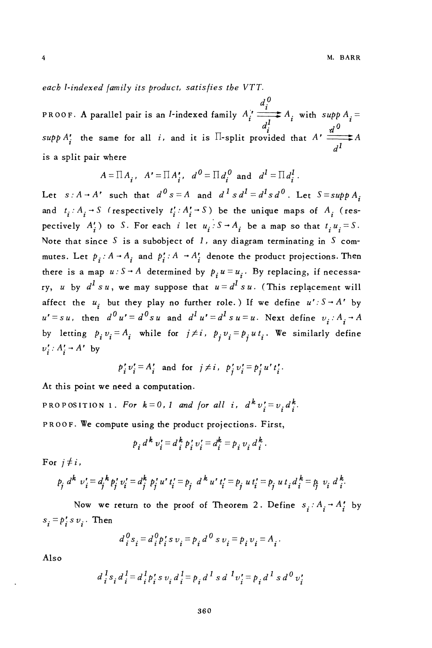each I-indexed (amily its product, satisfies the VTT.

PROOF. A parallel pair is an *l*-indexed family  $A_i' \xrightarrow[1]{d_i^0} A_i$  with  $supp A_i =$ supp A' the same for all i, and it is  $\Pi$ -split provided that  $A' \xrightarrow{i} A$ is a split pair where

$$
A = \Pi A_i, \quad A' = \Pi A'_i, \quad d^0 = \Pi d_i^0 \text{ and } d^1 = \Pi d_i^1.
$$

Let  $s:A \rightarrow A'$  such that  $d^0 s = A$  and  $d^1 s d^1 = d^1 s d^0$ . Let  $S = supp A$ . and  $t_i : A_i \rightarrow S$  (respectively  $t'_i : A'_i \rightarrow S$ ) be the unique maps of  $A_i$  (respectively  $A'$ , to S. For each i let  $u_i : S \rightarrow A$ , be a map so that  $t_i u_i = S$ . Note that since S is a subobject of 1, any diagram terminating in S commutes. Let  $p_i: A \rightarrow A_i$  and  $p'_i: A \rightarrow A'_i$  denote the product projections. Then there is a map  $u: S \rightarrow A$  determined by  $p_i u = u_i$ . By replacing, if necessary, u by  $d^I s u$ , we may suppose that  $u = d^I s u$ . (This replacement will affect the  $u_i$  but they play no further role.) If we define  $u': S \rightarrow A'$  by  $u' = s u$ , then  $d^0 u' = d^0 s u$  and  $d^1 u' = d^1 s u = u$ . Next define  $v_i : A_i \rightarrow A$ by letting  $p_i v_i = A_i$  while for  $j \neq i$ ,  $p_j v_i = p_j u t_i$ . We similarly define  $v'_i: A'_i \rightarrow A'$  by

$$
p_i' v_i' = A_i' \quad \text{and for} \quad j \neq i \,, \quad p_j' v_i' = p_j' u' t_i' \,.
$$

At this point we need a computation.

PROPOSITION 1. For  $k=0$ , 1 and for all i,  $d^k v_i^r = v_i d_i^k$ . PROOF. We compute using the product projections. First,

$$
p_i d^k v'_i = d^k_i p'_i v'_i = d^k_i = p_i v_i d^k_i.
$$

For  $i \neq i$ ,

 $\pmb{4}$ 

$$
p_j d^k v'_i = d_j^k p'_j v'_i = d_j^k p'_j u' t'_i = p_j d^k u' t'_i = p_j u t'_i = p_j u t_i d_i^k = p_j v_i d_i^k
$$

Now we return to the proof of Theorem 2. Define  $s_i : A_i \rightarrow A_i^*$  by  $s_i = p'_i s v_i$ . Then

$$
d_i^0 s_i = d_i^0 p_i^{\prime} s v_i = p_i d^0 s v_i = p_i v_i = A_i.
$$

Also

$$
d_i^1 s_i d_i^1 = d_i^1 p_i^1 s v_i d_i^1 = p_i d^1 s d^1 v_i^1 = p_i d^1 s d^0 v_i^1
$$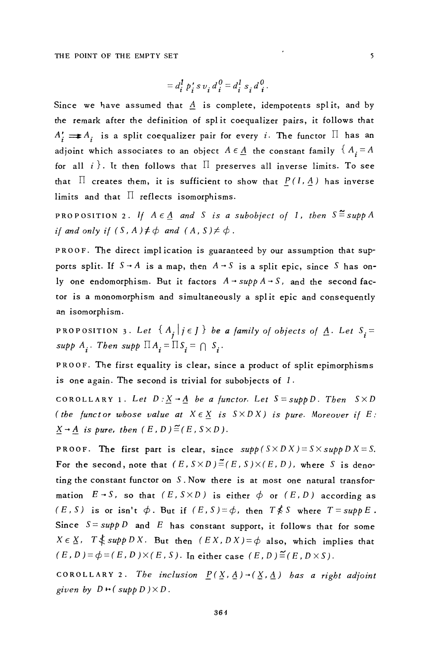$$
= d_i^1 p'_i s v_i d_i^0 = d_i^1 s_i d_i^0
$$

Since we have assumed that A is complete, idempotents split, and by the remark after the definition of split coequalizer pairs, it follows that  $A'_i \rightleftharpoons A_i$  is a split coequalizer pair for every *i*. The functor  $\Pi$  has an adjoint which associates to an object  $A \in \underline{A}$  the constant family  $\{A_i = A\}$ for all i). It then follows that  $\Pi$  preserves all inverse limits. To see that  $\Pi$  creates them, it is sufficient to show that  $P(I, A)$  has inverse limits and that  $\Pi$  reflects isomorphisms.

**PROPOSITION 2.** If  $A \in A$  and S is a subobject of 1, then  $S \stackrel{\sim}{=}$  supp A if and only if  $(S, A) \neq \emptyset$  and  $(A, S) \neq \emptyset$ .

PROOF. The direct implication is guaranteed by our assumption that supports split. If  $S \rightarrow A$  is a map, then  $A \rightarrow S$  is a split epic, since S has only one endomorphism. But it factors  $A \rightarrow supp A \rightarrow S$ , and the second factor is a monomorphism and simultaneously a split epic and consequently an isomorphism.

PROPOSITION 3. Let  $\{A_j | j \in J\}$  be a family of objects of  $\underline{A}$ . Let  $S_i =$ supp  $A_i$ . Then supp  $\prod A_i = \prod S_i = \bigcap S_i$ .

PROOF. The first equality is clear, since a product of split epimorphisms is one again. The second is trivial for subobjects of  $1$ .

COROLLARY 1. Let  $D: \underline{X} \rightarrow \underline{A}$  be a functor. Let  $S = supp D$ . Then  $S \times D$ (the functor whose value at  $X \in \underline{X}$  is  $S \times D X$ ) is pure. Moreover if E:  $\underline{X} \rightarrow \underline{A}$  is pure, then  $(E, D) \stackrel{\sim}{=} (E, S \times D)$ .

**PROOF.** The first part is clear, since  $supp(S \times D X) = S \times supp D X = S$ . For the second, note that  $(E, S \times D) \stackrel{\cong}{=} (E, S) \times (E, D)$ , where S is denoting the constant functor on S. Now there is at most one natural transformation  $E \rightarrow S$ , so that  $(E, S \times D)$  is either  $\phi$  or  $(E, D)$  according as  $(E, S)$  is or isn't  $\phi$ . But if  $(E, S) = \phi$ , then  $T \nless S$  where  $T = supp E$ . Since  $S = supp D$  and E has constant support, it follows that for some  $X \in \underline{X}$ ,  $T \nless \underline{supp } D X$ . But then  $(EX, DX) = \phi$  also, which implies that  $(E, D) = \phi = (E, D) \times (E, S)$ . In either case  $(E, D) \stackrel{\sim}{=} (E, D \times S)$ .

COROLLARY 2. The inclusion  $\underline{P}(\underline{X}, \underline{A}) \rightarrow (\underline{X}, \underline{A})$  has a right adjoint given by  $D \mapsto (\text{supp } D) \times D$ .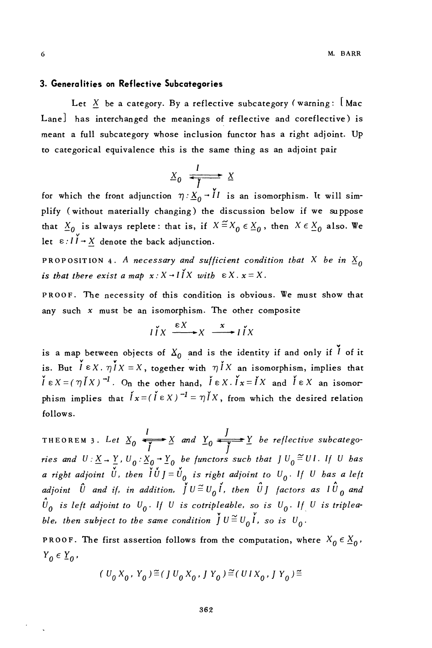#### 3. Generalities on Reflective Subcategories

Let X be a category. By a reflective subcategory (warning:  $\lfloor$  Mac Lane] has interchanged the meanings of reflective and coreflective) is meant a full subcategory whose inclusion functor has a right adjoint. Up to categorical equivalence this is the same thing as an adjoint pair

$$
X_0 \xrightarrow{\text{$I$}} X
$$

for which the front adjunction  $\eta : X_0 \to \tilde{l}l$  is an isomorphism. It will simplify (without materially changing) the discussion below if we suppose that  $\underline{X}_0$  is always replete: that is, if  $X \stackrel{\simeq}{=} X_0 \in \underline{X}_0$ , then  $X \in \underline{X}_0$  also. We let  $\epsilon: I \check{I} \to X$  denote the back adjunction.

PROPOSITION 4. A necessary and sufficient condition that X be in  $\underline{X}_0$ is that there exist a map  $x: X \rightarrow \tilde{I} X$  with  $\in X \cdot x = X$ .

PROOF. The necessity of this condition is obvious. We must show that any such  $x$  must be an isomorphism. The other composite

$$
I \cap X \xrightarrow{\varepsilon X} X \xrightarrow{x} I \cap X
$$

is a map between objects of  $X_0$  and is the identity if and only if  $\check{I}$  of it is. But  $\check{l} \in X$ .  $\eta I X = X$ , together with  $\eta I X$  an isomorphism, implies that  $\check{l} \in X = (\eta \check{l} X)^{-1}$ . On the other hand,  $\check{l} \in X$ .  $\check{l} x = \check{l} X$  and  $\check{l} \in X$  an isomorphism implies that  $\hat{I}x = (\hat{I} \in X)^{-1} = \eta \hat{I}X$ , from which the desired relation follows.

THEOREM 3. Let  $\underline{X}_0$   $\xrightarrow{\overline{I}} \underline{X}$  and  $\underline{Y}_0$   $\xrightarrow{\overline{I}} \underline{Y}$  be reflective subcategories and  $U: \underline{X} \to \frac{Y}{\sqrt{2}}$ ,  $U_0: \underline{X}_0 \to \underline{Y}_0$  be functors such that  $J U_0 \stackrel{\cong}{=} U I$ . If U has a right adjoint U, then  $\check{I} \check{U} J = \check{U}_0$  is right adjoint to  $U_0$ . If U has a left adjoint  $\hat{U}$  and if, in addition,  $\check{J}U \stackrel{\sim}{=} U_0 \check{I}$ , then  $\hat{U}J$  factors as  $I \hat{U}_0$  and  $\hat{U}_0$  is left adjoint to  $U_0$ . If U is cotripleable, so is  $U_0$ . If U is tripleable, then subject to the same condition  $\check{J} U \stackrel{\sim}{=} U_0 \check{I}$ , so is  $U_0$ .

**PROOF.** The first assertion follows from the computation, where  $X_0 \in \underline{X}_0$ ,  $Y_0 \in Y_0$ ,

$$
(U_0 X_0, Y_0) \equiv (J U_0 X_0, J Y_0) \equiv (UI X_0, J Y_0) \equiv
$$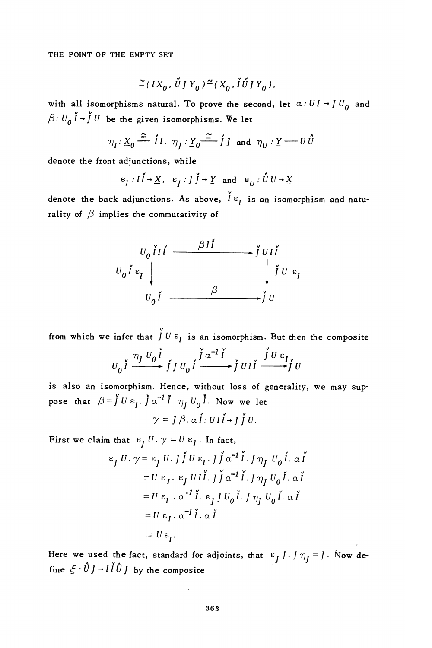THE POINT OF THE EMPTY SET

$$
\widetilde{=}(\mathit{IX}_0\,,\,\check{\mathit{U}}\,]\,Y_0\,)\,\widetilde{=}(\mathit{X}_0\,,\,\check{\mathit{I}}\,\check{\mathit{U}}\,]\,Y_0\,),
$$

with all isomorphisms natural. To prove the second, let  $\alpha:UI \rightarrow JU_0$  and  $\beta:U_0\check{I} \rightarrow \check{J}U$  be the given isomorphisms. We let

$$
\eta_I: \underline{X}_0 \stackrel{\cong}{\longrightarrow} \check{I}I, \ \eta_J: \underline{Y}_0 \stackrel{\cong}{\longrightarrow} \check{J}J \ \text{and} \ \eta_U: \underline{Y} \longrightarrow U \hat{U}
$$

denote the front adjunctions, while

$$
\varepsilon_{I}: I \to \underline{X}, \varepsilon_{J}: J \to \underline{Y} \text{ and } \varepsilon_{U}: \hat{U} \to \underline{X}
$$

denote the back adjunctions. As above,  $\check{l} \varepsilon_i$  is an isomorphism and naturality of  $\beta$  implies the commutativity of

$$
v_o \tilde{i} i \tilde{i} \longrightarrow \tilde{j} \tilde{v} i \tilde{i}
$$
  
\n
$$
v_o \tilde{i} \varepsilon_I \downarrow \qquad \qquad \tilde{j} \tilde{v} \varepsilon_I
$$
  
\n
$$
v_o \tilde{i} \longrightarrow \tilde{j} \tilde{v}
$$

from which we infer that  $\overrightarrow{J} U \varepsilon_I$  is an isomorphism. But then the composite

$$
U_0 \stackrel{\eta_J U_0 \stackrel{\check{\gamma}}{I}}{\xrightarrow{m}} \stackrel{\check{\eta}}{J} U_0 \stackrel{\check{\gamma}}{I} \stackrel{\alpha^{-1} \stackrel{\check{\gamma}}{I}}{\xrightarrow{m}} \stackrel{\check{\gamma}}{J} U \stackrel{\epsilon_I}{\xrightarrow{m}} \stackrel{\check{\gamma}}{J} U
$$

is also an isomorphism. Hence, without loss of generality, we may suppose that  $\beta = \int U \epsilon_I$ .  $\int \alpha^{-1} I$ .  $\eta_I U_0 I$ . Now we let

$$
\gamma = J \beta. \alpha \mathbf{i} \cdot \mathbf{U} \mathbf{i} \mathbf{i} \cdot \mathbf{j} \mathbf{j} \mathbf{U}.
$$

First we claim that  $\varepsilon_I U \cdot \gamma = U \varepsilon_I$ . In fact,

$$
\varepsilon_j U. \gamma = \varepsilon_j U. \int \int U \varepsilon_l. \int \int \alpha^{-1} \tilde{i} . \int \eta_j U_0 \tilde{i} . \alpha \tilde{i}
$$
  
\n
$$
= U \varepsilon_l. \varepsilon_j U I \tilde{i} . \int \int \alpha^{-1} \tilde{i} . \int \eta_j U_0 \tilde{i} . \alpha \tilde{i}
$$
  
\n
$$
= U \varepsilon_l. \alpha^{-1} \tilde{i} . \varepsilon_j U_0 \tilde{i} . \int \eta_j U_0 \tilde{i} . \alpha \tilde{i}
$$
  
\n
$$
= U \varepsilon_l. \alpha^{-1} \tilde{i} . \alpha \tilde{i}
$$
  
\n
$$
= U \varepsilon_l. \alpha^{-1} \tilde{i} . \alpha \tilde{i}
$$

Here we used the fact, standard for adjoints, that  $\varepsilon_j J \cdot J \eta_j = J \cdot \text{Now define } \xi : \hat{U} J \rightarrow I \hat{I} \hat{U} J$  by the composite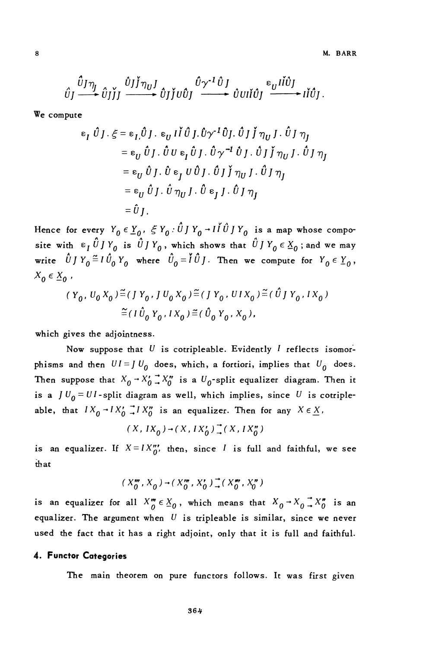$$
\hat{U}_J \xrightarrow{\hat{U}_J \eta_J} \hat{U}_J \check{J}_J \xrightarrow{\hat{U}_J \check{J}} \hat{U}_J \check{J}_J \hat{U}_J \xrightarrow{\hat{U}_{\mathcal{J}} \cdot \hat{U}_J} \hat{U}_J \hat{U}_J \xrightarrow{\epsilon_U I \check{I} \hat{U}_J} I \check{I} \hat{U}_J.
$$

We compute

$$
\epsilon_{I} \hat{U} J \cdot \xi = \epsilon_{I} \hat{U} J \cdot \epsilon_{U} I \hat{U} \hat{U} J \cdot \hat{U} \gamma^{-1} \hat{U} J \cdot \hat{U} J \hat{J} \eta_{U} J \cdot \hat{U} J \eta_{J}
$$
  
\n
$$
= \epsilon_{U} \hat{U} J \cdot \hat{U} U \epsilon_{I} \hat{U} J \cdot \hat{U} \gamma^{-1} \hat{U} J \cdot \hat{U} J \hat{J} \eta_{U} J \cdot \hat{U} J \eta_{J}
$$
  
\n
$$
= \epsilon_{U} \hat{U} J \cdot \hat{U} \epsilon_{J} U \hat{U} J \cdot \hat{U} J \hat{J} \eta_{U} J \cdot \hat{U} J \eta_{J}
$$
  
\n
$$
= \epsilon_{U} \hat{U} J \cdot \hat{U} \eta_{U} J \cdot \hat{U} \epsilon_{J} J \cdot \hat{U} J \eta_{J}
$$
  
\n
$$
= \hat{U} J \cdot \hat{U} \eta_{U} J \cdot \hat{U} \epsilon_{J} J \cdot \hat{U} J \eta_{J}
$$

Hence for every  $Y_0 \in Y_0$ ,  $\zeta Y_0$ .  $\hat{U} J Y_0 \rightarrow I \hat{I} \hat{U} J Y_0$  is a map whose composite with  $\epsilon_I \hat{U} J Y_0$  is  $\hat{U} J Y_0$ , which shows that  $\hat{U} J Y_0 \epsilon X_0$ ; and we may write  $\hat{U} J Y_0 \stackrel{\simeq}{=} I \hat{U}_0 Y_0$  where  $\hat{U}_0 = \hat{I} \hat{U} J$ . Then we compute for  $Y_0 \in Y_0$ ,  $X_0 \in X_0$ ,

$$
(Y_0, U_0 X_0) \stackrel{\simeq}{=} (J Y_0, J U_0 X_0) \stackrel{\simeq}{=} (J Y_0, U I X_0) \stackrel{\simeq}{=} (\hat{U} J Y_0, I X_0)
$$
  

$$
\stackrel{\simeq}{=} (I \hat{U}_0 Y_0, I X_0) \stackrel{\simeq}{=} (\hat{U}_0 Y_0, X_0),
$$

which gives the adjointness.

Now suppose that  $U$  is cotripleable. Evidently  $I$  reflects isomorphisms and then  $UI = J U_0$  does, which, a fortiori, implies that  $U_0$  does. Then suppose that  $X_0 \rightarrow X'_0 \rightarrow X''_0$  is a  $U_0$ -split equalizer diagram. Then it is a  $JU_0 = UI$ -split diagram as well, which implies, since U is cotripleable, that  $IX_0 \rightharpoonup IX_0' \rightharpoonup IX_0''$  is an equalizer. Then for any  $X \in \underline{X}$ ,

$$
(X, IX_0) \rightarrow (X, IX'_0) \rightarrow (X, IX''_0)
$$

is an equalizer. If  $X = I X_{0}''$ , then, since I is full and faithful, we see that

$$
(X_0^m, X_0) \rightarrow (X_0^m, X_0^r) \rightarrow (X_0^m, X_0^r)
$$

is an equalizer for all  $X_{0}^{m} \in X_{0}$ , which means that  $X_{0} \rightarrow X_{0} \rightarrow X_{0}^{m}$  is an equalizer. The argument when  $U$  is tripleable is similar, since we never used the fact that it has a right adjoint, only that it is full and faithful.

#### 4. Functor Categories

The main theorem on pure functors follows. It was first given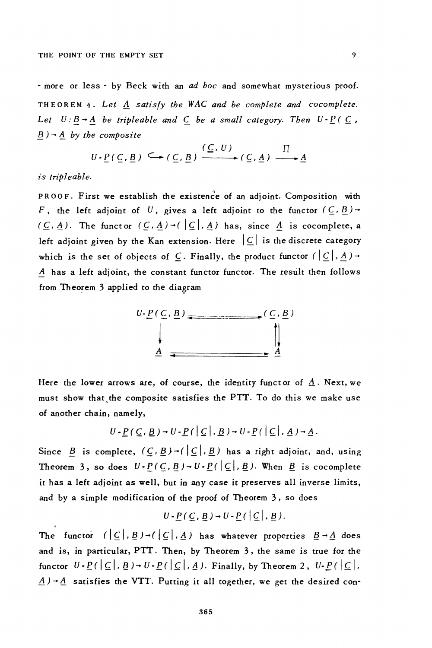- more or less - by Beck with an ad boc and somewhat mysterious proof. THEOREM 4. Let A satisfy the WAC and be complete and cocomplete. Let  $U:B \rightarrow A$  be tripleable and C be a small category. Then  $U \cdot P(C)$ ,  $\underline{B}$ ) -  $\underline{A}$  by the composite

$$
U \cdot \underline{P}(\underline{C}, \underline{B}) \subseteq (\underline{C}, \underline{B}) \xrightarrow{(\underline{C}, U)} (\underline{C}, \underline{A}) \xrightarrow{\Pi} \underline{A}
$$

is tripleable.

PROOF. First we establish the existence of an adioint. Composition with F, the left adjoint of U, gives a left adjoint to the functor  $(\underline{C}, \underline{B})$  +  $(\underline{C}, \underline{A})$ . The functor  $(\underline{C}, \underline{A}) \rightarrow (\underline{C}, \underline{A})$  has, since  $\underline{A}$  is cocomplete, a left adjoint given by the Kan extension. Here  $|C|$  is the discrete category which is the set of objects of  $C$ . Finally, the product functor  $(|C|, A)$  + A has a left adjoint, the constant functor functor. The result then follows from Theorem 3 applied to the diagram



Here the lower arrows are, of course, the identity functor of  $\underline{A}$ . Next, we must show that the composite satisfies the PTT. To do this we make use of another chain, namely,

$$
U\cdot P(\underline{C},\underline{B})\rightarrow U\cdot P([\underline{C}],\underline{B})\rightarrow U\cdot P([\underline{C}],\underline{A})\rightarrow \underline{A}.
$$

Since  $\underline{B}$  is complete,  $(\underline{C}, \underline{B}) \rightarrow (\underline{C}, \underline{B})$  has a right adjoint, and, using Theorem 3, so does  $U \cdot P(C, B) \rightarrow U \cdot P(\vert C \vert, B)$ . When  $B$  is cocomplete it has a left adjoint as well, but in any case it preserves all inverse limits, and by a simple modification of the proof of Theorem 3, so does

$$
U - \underline{P}(\underline{C}, \underline{B}) \rightarrow U - \underline{P}(\underline{C} | \underline{C} | \underline{B}).
$$

The functor  $(|\underline{C}|, \underline{B}) \rightarrow (|\underline{C}|, \underline{A})$  has whatever properties  $\underline{B} \rightarrow \underline{A}$  does and is, in particular, PTT. Then, by Theorem 3, the same is true for the functor  $U - P(|C|, B) - U - P(|C|, A)$ . Finally, by Theorem 2,  $U - P(|C|, A)$ .  $\underline{A}$ ) -  $\underline{A}$  satisfies the VTT. Putting it all together, we get the desired con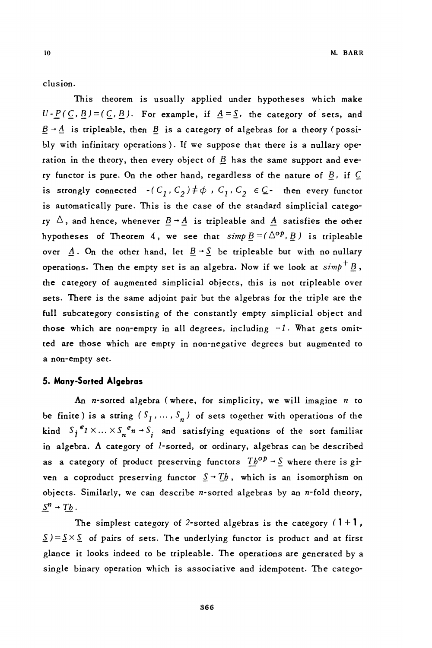$10\,$ 

clusion.

This theorem is usually applied under hypotheses which make  $U - P(C, B) = (C, B)$ . For example, if  $A = S$ , the category of sets, and  $\underline{B} \rightarrow \underline{A}$  is tripleable, then  $\underline{B}$  is a category of algebras for a theory (possibly with infinitary operations). If we suppose that there is a nullary operation in the theory, then every object of  $B$  has the same support and every functor is pure. On the other hand, regardless of the nature of  $B$ , if  $C$ is strongly connected  $-(C_1, C_2) \neq \phi$ ,  $C_1, C_2 \in \mathbb{C}$ - then every functor is automatically pure. This is the case of the standard simplicial category  $\Delta$ , and hence, whenever  $\underline{B} \rightarrow \underline{A}$  is tripleable and  $\underline{A}$  satisfies the other hypotheses of Theorem 4, we see that  $simp \underline{B} = (\Delta^{op}, \underline{B})$  is tripleable over  $\underline{A}$ . On the other hand, let  $\underline{B} \rightarrow \underline{S}$  be tripleable but with no nullary operations. Then the empty set is an algebra. Now if we look at  $simp^+\underline{B}$ , the category of augmented simplicial objects, this is not tripleable over sets. There is the same adjoint pair but the algebras for the triple are the full subcategory consisting of the constantly empty simplicial object and those which are non-empty in all degrees, including  $-1$ . What gets omitted are those which are empty in non-negative degrees but augmented to a non-empty set.

### 5. Many-Sorted Algebras

An *n*-sorted algebra (where, for simplicity, we will imagine  $n$  to be finite) is a string  $(S_1, \ldots, S_n)$  of sets together with operations of the kind  $S_i^e_1 \times ... \times S_n^e_n \to S_i$  and satisfying equations of the sort familiar in algebra. A category of 1-sorted, or ordinary, algebras can be described as a category of product preserving functors  $Tb^{op} \rightarrow S$  where there is given a coproduct preserving functor  $S \rightarrow Th$ , which is an isomorphism on objects. Similarly, we can describe n-sorted algebras by an n-fold theory,  $S^n \rightarrow Tb$ .

The simplest category of 2-sorted algebras is the category  $(1+1)$ ,  $\underline{S}$ ) =  $\underline{S} \times \underline{S}$  of pairs of sets. The underlying functor is product and at first glance it looks indeed to be tripleable. The operations are generated by a single binary operation which is associative and idempotent. The catego-

366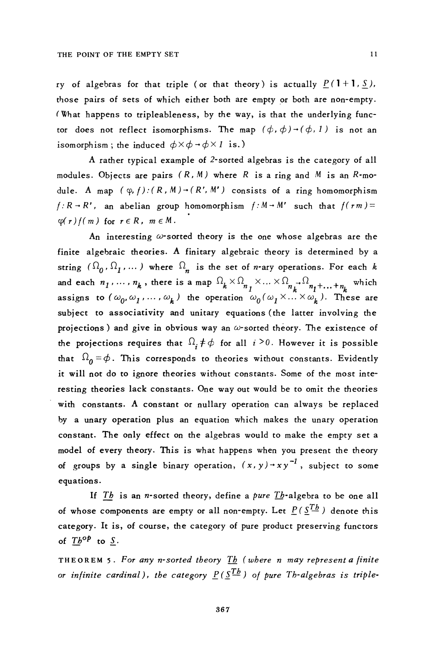ry of algebras for that triple (or that theory) is actually  $P(1+1, S)$ , those pairs of sets of which either both are empty or both are non-empty. (What happens to tripleableness, by the way, is that the underlying functor does not reflect isomorphisms. The map  $(\phi, \phi) \rightarrow (\phi, 1)$  is not an isomorphism; the induced  $\phi \times \phi \rightarrow \phi \times 1$  is.)

A rather typical example of 2-sorted algebras is the category of all modules. Objects are pairs  $(R, M)$  where R is a ring and M is an R-module. A map  $(\varphi, f) : (R, M) \rightarrow (R', M')$  consists of a ring homomorphism  $f: R \rightarrow R'$ , an abelian group homomorphism  $f: M \rightarrow M'$  such that  $f(rm) =$  $\varphi(r) f(m)$  for  $r \in R$ ,  $m \in M$ .

An interesting  $\omega$ -sorted theory is the one whose algebras are the finite algebraic theories. A finitary algebraic theory is determined by a string  $(\Omega_0, \Omega_1, ...)$  where  $\Omega_n$  is the set of *n*-ary operations. For each *k* and each  $n_1, ..., n_k$ , there is a map  $\Omega_k \times \Omega_{n_1} \times ... \times \Omega_{n_k} \to \Omega_{n_1} + ... + n_k$  which<br>assigns to  $(\omega_0, \omega_1, ..., \omega_k)$  the operation  $\omega_0(\omega_1 \times ... \times \omega_k)$ . These are subject to associativity and unitary equations (the latter involving the projections) and give in obvious way an  $\omega$ -sorted theory. The existence of the projections requires that  $\Omega_i \neq \phi$  for all  $i > 0$ . However it is possible that  $\Omega_0 = \phi$ . This corresponds to theories without constants. Evidently it will not do to ignore theories without constants. Some of the most interesting theories lack constants. One way out would be to omit the theories with constants. A constant or nullary operation can always be replaced by a unary operation plus an equation which makes the unary operation constant. The only effect on the algebras would to make the empty set a model of every theory. This is what happens when you present the theory of groups by a single binary operation,  $(x, y) \rightarrow xy^{-1}$ , subject to some equations.

If Th is an *n*-sorted theory, define a pure  $\overline{\text{L}}$ -algebra to be one all of whose components are empty or all non-empty. Let  $P(\mathcal{S}^{T_b})$  denote this category. It is, of course, the category of pure product preserving functors of  $T h^{op}$  to  $S$ .

THEOREM 5. For any n-sorted theory  $I_b$  (where n may represent a finite or infinite cardinal), the category  $P(S^{Tb})$  of pure Th-algebras is triple